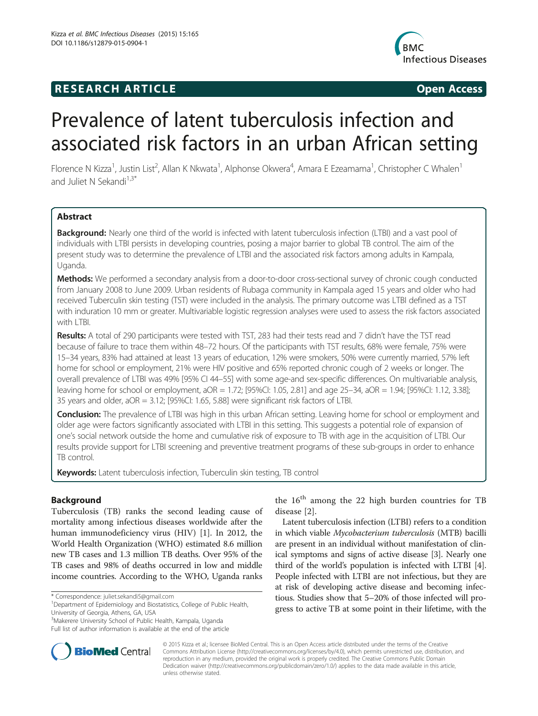# **RESEARCH ARTICLE Example 2014 CONSIDERING CONSIDERING CONSIDERING CONSIDERING CONSIDERING CONSIDERING CONSIDERING CONSIDERING CONSIDERING CONSIDERING CONSIDERING CONSIDERING CONSIDERING CONSIDERING CONSIDERING CONSIDE**



# Prevalence of latent tuberculosis infection and associated risk factors in an urban African setting

Florence N Kizza<sup>1</sup>, Justin List<sup>2</sup>, Allan K Nkwata<sup>1</sup>, Alphonse Okwera<sup>4</sup>, Amara E Ezeamama<sup>1</sup>, Christopher C Whalen<sup>1</sup> and Juliet N Sekandi $1,3^*$ 

# Abstract

Background: Nearly one third of the world is infected with latent tuberculosis infection (LTBI) and a vast pool of individuals with LTBI persists in developing countries, posing a major barrier to global TB control. The aim of the present study was to determine the prevalence of LTBI and the associated risk factors among adults in Kampala, Uganda.

Methods: We performed a secondary analysis from a door-to-door cross-sectional survey of chronic cough conducted from January 2008 to June 2009. Urban residents of Rubaga community in Kampala aged 15 years and older who had received Tuberculin skin testing (TST) were included in the analysis. The primary outcome was LTBI defined as a TST with induration 10 mm or greater. Multivariable logistic regression analyses were used to assess the risk factors associated with LTBI.

Results: A total of 290 participants were tested with TST, 283 had their tests read and 7 didn't have the TST read because of failure to trace them within 48–72 hours. Of the participants with TST results, 68% were female, 75% were 15–34 years, 83% had attained at least 13 years of education, 12% were smokers, 50% were currently married, 57% left home for school or employment, 21% were HIV positive and 65% reported chronic cough of 2 weeks or longer. The overall prevalence of LTBI was 49% [95% CI 44–55] with some age-and sex-specific differences. On multivariable analysis, leaving home for school or employment, aOR = 1.72; [95%CI: 1.05, 2.81] and age 25–34, aOR = 1.94; [95%CI: 1.12, 3.38]; 35 years and older, aOR = 3.12; [95%CI: 1.65, 5.88] were significant risk factors of LTBI.

Conclusion: The prevalence of LTBI was high in this urban African setting. Leaving home for school or employment and older age were factors significantly associated with LTBI in this setting. This suggests a potential role of expansion of one's social network outside the home and cumulative risk of exposure to TB with age in the acquisition of LTBI. Our results provide support for LTBI screening and preventive treatment programs of these sub-groups in order to enhance TB control.

Keywords: Latent tuberculosis infection, Tuberculin skin testing, TB control

# Background

Tuberculosis (TB) ranks the second leading cause of mortality among infectious diseases worldwide after the human immunodeficiency virus (HIV) [[1](#page-6-0)]. In 2012, the World Health Organization (WHO) estimated 8.6 million new TB cases and 1.3 million TB deaths. Over 95% of the TB cases and 98% of deaths occurred in low and middle income countries. According to the WHO, Uganda ranks



Latent tuberculosis infection (LTBI) refers to a condition in which viable Mycobacterium tuberculosis (MTB) bacilli are present in an individual without manifestation of clinical symptoms and signs of active disease [\[3](#page-6-0)]. Nearly one third of the world's population is infected with LTBI [[4](#page-6-0)]. People infected with LTBI are not infectious, but they are at risk of developing active disease and becoming infectious. Studies show that 5–20% of those infected will progress to active TB at some point in their lifetime, with the



© 2015 Kizza et al.; licensee BioMed Central. This is an Open Access article distributed under the terms of the Creative Commons Attribution License [\(http://creativecommons.org/licenses/by/4.0\)](http://creativecommons.org/licenses/by/4.0), which permits unrestricted use, distribution, and reproduction in any medium, provided the original work is properly credited. The Creative Commons Public Domain Dedication waiver [\(http://creativecommons.org/publicdomain/zero/1.0/](http://creativecommons.org/publicdomain/zero/1.0/)) applies to the data made available in this article, unless otherwise stated.

<sup>\*</sup> Correspondence: [juliet.sekandi5@gmail.com](mailto:juliet.sekandi5@gmail.com) <sup>1</sup>

Department of Epidemiology and Biostatistics, College of Public Health, University of Georgia, Athens, GA, USA

<sup>3</sup> Makerere University School of Public Health, Kampala, Uganda

Full list of author information is available at the end of the article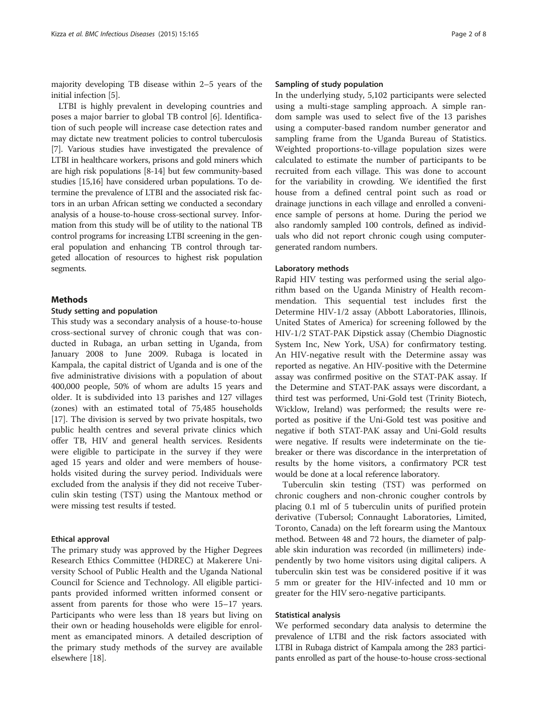majority developing TB disease within 2–5 years of the initial infection [[5\]](#page-6-0).

LTBI is highly prevalent in developing countries and poses a major barrier to global TB control [[6\]](#page-6-0). Identification of such people will increase case detection rates and may dictate new treatment policies to control tuberculosis [[7](#page-6-0)]. Various studies have investigated the prevalence of LTBI in healthcare workers, prisons and gold miners which are high risk populations [\[8-14\]](#page-6-0) but few community-based studies [\[15,16](#page-6-0)] have considered urban populations. To determine the prevalence of LTBI and the associated risk factors in an urban African setting we conducted a secondary analysis of a house-to-house cross-sectional survey. Information from this study will be of utility to the national TB control programs for increasing LTBI screening in the general population and enhancing TB control through targeted allocation of resources to highest risk population segments.

#### Methods

#### Study setting and population

This study was a secondary analysis of a house-to-house cross-sectional survey of chronic cough that was conducted in Rubaga, an urban setting in Uganda, from January 2008 to June 2009. Rubaga is located in Kampala, the capital district of Uganda and is one of the five administrative divisions with a population of about 400,000 people, 50% of whom are adults 15 years and older. It is subdivided into 13 parishes and 127 villages (zones) with an estimated total of 75,485 households [[17\]](#page-6-0). The division is served by two private hospitals, two public health centres and several private clinics which offer TB, HIV and general health services. Residents were eligible to participate in the survey if they were aged 15 years and older and were members of households visited during the survey period. Individuals were excluded from the analysis if they did not receive Tuberculin skin testing (TST) using the Mantoux method or were missing test results if tested.

#### Ethical approval

The primary study was approved by the Higher Degrees Research Ethics Committee (HDREC) at Makerere University School of Public Health and the Uganda National Council for Science and Technology. All eligible participants provided informed written informed consent or assent from parents for those who were 15–17 years. Participants who were less than 18 years but living on their own or heading households were eligible for enrolment as emancipated minors. A detailed description of the primary study methods of the survey are available elsewhere [[18](#page-6-0)].

#### Sampling of study population

In the underlying study, 5,102 participants were selected using a multi-stage sampling approach. A simple random sample was used to select five of the 13 parishes using a computer-based random number generator and sampling frame from the Uganda Bureau of Statistics. Weighted proportions-to-village population sizes were calculated to estimate the number of participants to be recruited from each village. This was done to account for the variability in crowding. We identified the first house from a defined central point such as road or drainage junctions in each village and enrolled a convenience sample of persons at home. During the period we also randomly sampled 100 controls, defined as individuals who did not report chronic cough using computergenerated random numbers.

#### Laboratory methods

Rapid HIV testing was performed using the serial algorithm based on the Uganda Ministry of Health recommendation. This sequential test includes first the Determine HIV-1/2 assay (Abbott Laboratories, Illinois, United States of America) for screening followed by the HIV-1/2 STAT-PAK Dipstick assay (Chembio Diagnostic System Inc, New York, USA) for confirmatory testing. An HIV-negative result with the Determine assay was reported as negative. An HIV-positive with the Determine assay was confirmed positive on the STAT-PAK assay. If the Determine and STAT-PAK assays were discordant, a third test was performed, Uni-Gold test (Trinity Biotech, Wicklow, Ireland) was performed; the results were reported as positive if the Uni-Gold test was positive and negative if both STAT-PAK assay and Uni-Gold results were negative. If results were indeterminate on the tiebreaker or there was discordance in the interpretation of results by the home visitors, a confirmatory PCR test would be done at a local reference laboratory.

Tuberculin skin testing (TST) was performed on chronic coughers and non-chronic cougher controls by placing 0.1 ml of 5 tuberculin units of purified protein derivative (Tubersol; Connaught Laboratories, Limited, Toronto, Canada) on the left forearm using the Mantoux method. Between 48 and 72 hours, the diameter of palpable skin induration was recorded (in millimeters) independently by two home visitors using digital calipers. A tuberculin skin test was be considered positive if it was 5 mm or greater for the HIV-infected and 10 mm or greater for the HIV sero-negative participants.

#### Statistical analysis

We performed secondary data analysis to determine the prevalence of LTBI and the risk factors associated with LTBI in Rubaga district of Kampala among the 283 participants enrolled as part of the house-to-house cross-sectional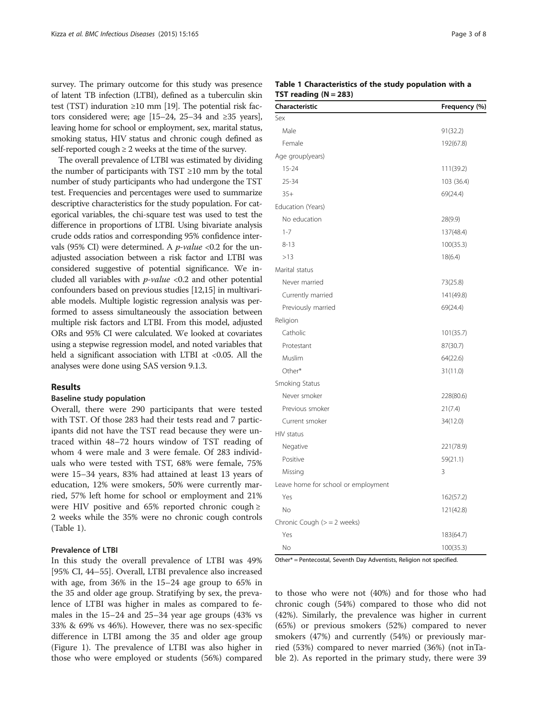survey. The primary outcome for this study was presence of latent TB infection (LTBI), defined as a tuberculin skin test (TST) induration ≥10 mm [[19](#page-6-0)]. The potential risk factors considered were; age [15–24, 25–34 and ≥35 years], leaving home for school or employment, sex, marital status, smoking status, HIV status and chronic cough defined as self-reported cough  $\geq 2$  weeks at the time of the survey.

The overall prevalence of LTBI was estimated by dividing the number of participants with  $TST \ge 10$  mm by the total number of study participants who had undergone the TST test. Frequencies and percentages were used to summarize descriptive characteristics for the study population. For categorical variables, the chi-square test was used to test the difference in proportions of LTBI. Using bivariate analysis crude odds ratios and corresponding 95% confidence intervals (95% CI) were determined. A *p*-value <0.2 for the unadjusted association between a risk factor and LTBI was considered suggestive of potential significance. We included all variables with  $p$ -value <0.2 and other potential confounders based on previous studies [[12,15\]](#page-6-0) in multivariable models. Multiple logistic regression analysis was performed to assess simultaneously the association between multiple risk factors and LTBI. From this model, adjusted ORs and 95% CI were calculated. We looked at covariates using a stepwise regression model, and noted variables that held a significant association with LTBI at <0.05. All the analyses were done using SAS version 9.1.3.

#### Results

#### Baseline study population

Overall, there were 290 participants that were tested with TST. Of those 283 had their tests read and 7 participants did not have the TST read because they were untraced within 48–72 hours window of TST reading of whom 4 were male and 3 were female. Of 283 individuals who were tested with TST, 68% were female, 75% were 15–34 years, 83% had attained at least 13 years of education, 12% were smokers, 50% were currently married, 57% left home for school or employment and 21% were HIV positive and 65% reported chronic cough  $\ge$ 2 weeks while the 35% were no chronic cough controls (Table 1).

#### Prevalence of LTBI

In this study the overall prevalence of LTBI was 49% [95% CI, 44–55]. Overall, LTBI prevalence also increased with age, from 36% in the 15–24 age group to 65% in the 35 and older age group. Stratifying by sex, the prevalence of LTBI was higher in males as compared to females in the 15–24 and 25–34 year age groups (43% vs 33% & 69% vs 46%). However, there was no sex-specific difference in LTBI among the 35 and older age group (Figure [1](#page-3-0)). The prevalence of LTBI was also higher in those who were employed or students (56%) compared

## Table 1 Characteristics of the study population with a TST reading  $(N = 283)$

| Characteristic                      | Frequency (%) |  |
|-------------------------------------|---------------|--|
| Sex                                 |               |  |
| Male                                | 91(32.2)      |  |
| Female                              | 192(67.8)     |  |
| Age group(years)                    |               |  |
| $15 - 24$                           | 111(39.2)     |  |
| 25-34                               | 103 (36.4)    |  |
| $35+$                               | 69(24.4)      |  |
| Education (Years)                   |               |  |
| No education                        | 28(9.9)       |  |
| $1 - 7$                             | 137(48.4)     |  |
| $8 - 13$                            | 100(35.3)     |  |
| >13                                 | 18(6.4)       |  |
| Marital status                      |               |  |
| Never married                       | 73(25.8)      |  |
| Currently married                   | 141(49.8)     |  |
| Previously married                  | 69(24.4)      |  |
| Religion                            |               |  |
| Catholic                            | 101(35.7)     |  |
| Protestant                          | 87(30.7)      |  |
| Muslim                              | 64(22.6)      |  |
| Other*                              | 31(11.0)      |  |
| Smoking Status                      |               |  |
| Never smoker                        | 228(80.6)     |  |
| Previous smoker                     | 21(7.4)       |  |
| Current smoker                      | 34(12.0)      |  |
| HIV status                          |               |  |
| Negative                            | 221(78.9)     |  |
| Positive                            | 59(21.1)      |  |
| Missing                             | 3             |  |
| Leave home for school or employment |               |  |
| Yes                                 | 162(57.2)     |  |
| No                                  | 121(42.8)     |  |
| Chronic Cough $(>= 2$ weeks)        |               |  |
| Yes                                 | 183(64.7)     |  |
| No                                  | 100(35.3)     |  |

Other\* = Pentecostal, Seventh Day Adventists, Religion not specified.

to those who were not (40%) and for those who had chronic cough (54%) compared to those who did not (42%). Similarly, the prevalence was higher in current (65%) or previous smokers (52%) compared to never smokers (47%) and currently (54%) or previously married (53%) compared to never married (36%) (not inTable [2\)](#page-4-0). As reported in the primary study, there were 39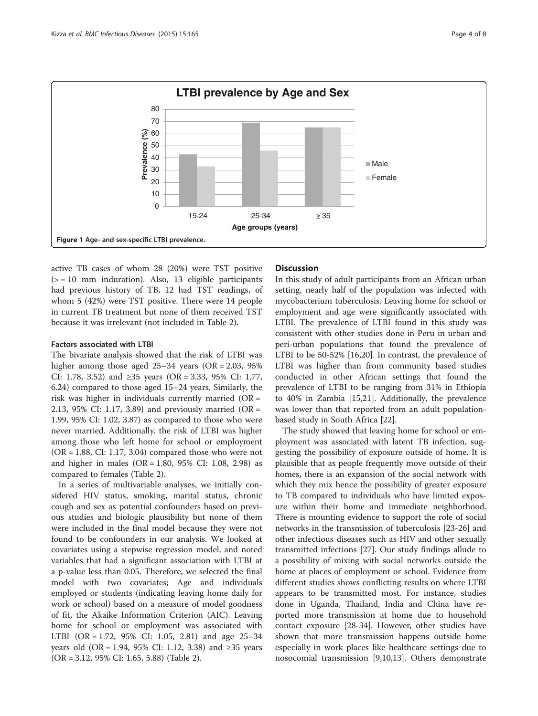<span id="page-3-0"></span>

active TB cases of whom 28 (20%) were TST positive  $(>= 10$  mm induration). Also, 13 eligible participants had previous history of TB, 12 had TST readings, of whom 5 (42%) were TST positive. There were 14 people in current TB treatment but none of them received TST because it was irrelevant (not included in Table [2\)](#page-4-0).

#### Factors associated with LTBI

The bivariate analysis showed that the risk of LTBI was higher among those aged 25–34 years (OR = 2.03, 95% CI: 1.78, 3.52) and ≥35 years (OR = 3.33, 95% CI: 1.77, 6.24) compared to those aged 15–24 years. Similarly, the risk was higher in individuals currently married (OR = 2.13, 95% CI: 1.17, 3.89) and previously married (OR = 1.99, 95% CI: 1.02, 3.87) as compared to those who were never married. Additionally, the risk of LTBI was higher among those who left home for school or employment  $(OR = 1.88, CI: 1.17, 3.04)$  compared those who were not and higher in males (OR = 1.80, 95% CI: 1.08, 2.98) as compared to females (Table [2](#page-4-0)).

In a series of multivariable analyses, we initially considered HIV status, smoking, marital status, chronic cough and sex as potential confounders based on previous studies and biologic plausibility but none of them were included in the final model because they were not found to be confounders in our analysis. We looked at covariates using a stepwise regression model, and noted variables that had a significant association with LTBI at a p-value less than 0.05. Therefore, we selected the final model with two covariates; Age and individuals employed or students (indicating leaving home daily for work or school) based on a measure of model goodness of fit, the Akaike Information Criterion (AIC). Leaving home for school or employment was associated with LTBI (OR = 1.72, 95% CI: 1.05, 2.81) and age 25–34 years old (OR = 1.94, 95% CI: 1.12, 3.38) and ≥35 years (OR = 3.12, 95% CI: 1.65, 5.88) (Table [2\)](#page-4-0).

## **Discussion**

In this study of adult participants from an African urban setting, nearly half of the population was infected with mycobacterium tuberculosis. Leaving home for school or employment and age were significantly associated with LTBI. The prevalence of LTBI found in this study was consistent with other studies done in Peru in urban and peri-urban populations that found the prevalence of LTBI to be 50-52% [\[16,20\]](#page-6-0). In contrast, the prevalence of LTBI was higher than from community based studies conducted in other African settings that found the prevalence of LTBI to be ranging from 31% in Ethiopia to 40% in Zambia [[15,21](#page-6-0)]. Additionally, the prevalence was lower than that reported from an adult populationbased study in South Africa [\[22](#page-6-0)].

The study showed that leaving home for school or employment was associated with latent TB infection, suggesting the possibility of exposure outside of home. It is plausible that as people frequently move outside of their homes, there is an expansion of the social network with which they mix hence the possibility of greater exposure to TB compared to individuals who have limited exposure within their home and immediate neighborhood. There is mounting evidence to support the role of social networks in the transmission of tuberculosis [\[23-26](#page-6-0)] and other infectious diseases such as HIV and other sexually transmitted infections [[27\]](#page-6-0). Our study findings allude to a possibility of mixing with social networks outside the home at places of employment or school. Evidence from different studies shows conflicting results on where LTBI appears to be transmitted most. For instance, studies done in Uganda, Thailand, India and China have reported more transmission at home due to household contact exposure [\[28](#page-6-0)-[34\]](#page-6-0). However, other studies have shown that more transmission happens outside home especially in work places like healthcare settings due to nosocomial transmission [[9,10,13\]](#page-6-0). Others demonstrate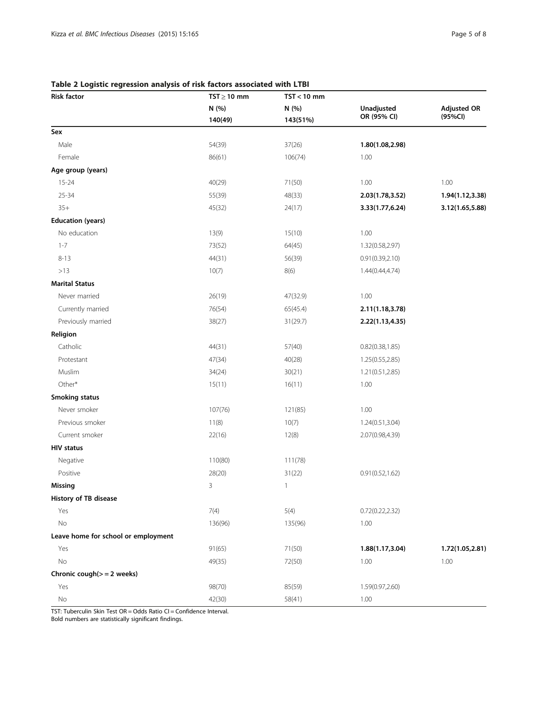# <span id="page-4-0"></span>Table 2 Logistic regression analysis of risk factors associated with LTBI

| <b>Risk factor</b>                  | $TST \geq 10$ mm | $TST < 10$ mm     |                           |                               |
|-------------------------------------|------------------|-------------------|---------------------------|-------------------------------|
|                                     | N (%)<br>140(49) | N (%)<br>143(51%) | Unadjusted<br>OR (95% CI) | <b>Adjusted OR</b><br>(95%CI) |
|                                     |                  |                   |                           |                               |
| Male                                | 54(39)           | 37(26)            | 1.80(1.08,2.98)           |                               |
| Female                              | 86(61)           | 106(74)           | 1.00                      |                               |
| Age group (years)                   |                  |                   |                           |                               |
| $15 - 24$                           | 40(29)           | 71(50)            | 1.00                      | 1.00                          |
| $25 - 34$                           | 55(39)           | 48(33)            | 2.03(1.78,3.52)           | 1.94(1.12,3.38)               |
| $35+$                               | 45(32)           | 24(17)            | 3.33(1.77,6.24)           | 3.12(1.65,5.88)               |
| <b>Education (years)</b>            |                  |                   |                           |                               |
| No education                        | 13(9)            | 15(10)            | 1.00                      |                               |
| $1 - 7$                             | 73(52)           | 64(45)            | 1.32(0.58,2.97)           |                               |
| $8 - 13$                            | 44(31)           | 56(39)            | 0.91(0.39, 2.10)          |                               |
| >13                                 | 10(7)            | 8(6)              | 1.44(0.44,4.74)           |                               |
| <b>Marital Status</b>               |                  |                   |                           |                               |
| Never married                       | 26(19)           | 47(32.9)          | 1.00                      |                               |
| Currently married                   | 76(54)           | 65(45.4)          | 2.11(1.18,3.78)           |                               |
| Previously married                  | 38(27)           | 31(29.7)          | 2.22(1.13,4.35)           |                               |
| Religion                            |                  |                   |                           |                               |
| Catholic                            | 44(31)           | 57(40)            | 0.82(0.38, 1.85)          |                               |
| Protestant                          | 47(34)           | 40(28)            | 1.25(0.55,2.85)           |                               |
| Muslim                              | 34(24)           | 30(21)            | 1.21(0.51,2.85)           |                               |
| Other*                              | 15(11)           | 16(11)            | 1.00                      |                               |
| <b>Smoking status</b>               |                  |                   |                           |                               |
| Never smoker                        | 107(76)          | 121(85)           | 1.00                      |                               |
| Previous smoker                     | 11(8)            | 10(7)             | 1.24(0.51,3.04)           |                               |
| Current smoker                      | 22(16)           | 12(8)             | 2.07(0.98,4.39)           |                               |
| <b>HIV status</b>                   |                  |                   |                           |                               |
| Negative                            | 110(80)          | 111(78)           |                           |                               |
| Positive                            | 28(20)           | 31(22)            | 0.91(0.52, 1.62)          |                               |
| Missing                             | 3                | $\mathbf{1}$      |                           |                               |
| History of TB disease               |                  |                   |                           |                               |
| Yes                                 | 7(4)             | 5(4)              | 0.72(0.22, 2.32)          |                               |
| No                                  | 136(96)          | 135(96)           | 1.00                      |                               |
| Leave home for school or employment |                  |                   |                           |                               |
| Yes                                 | 91(65)           | 71(50)            | 1.88(1.17,3.04)           | 1.72(1.05,2.81)               |
| No                                  | 49(35)           | 72(50)            | 1.00                      | 1.00                          |
| Chronic cough $(>= 2$ weeks)        |                  |                   |                           |                               |
| Yes                                 | 98(70)           | 85(59)            | 1.59(0.97,2.60)           |                               |
| $\rm No$                            | 42(30)           | 58(41)            | 1.00                      |                               |

TST: Tuberculin Skin Test OR = Odds Ratio CI = Confidence Interval.

Bold numbers are statistically significant findings.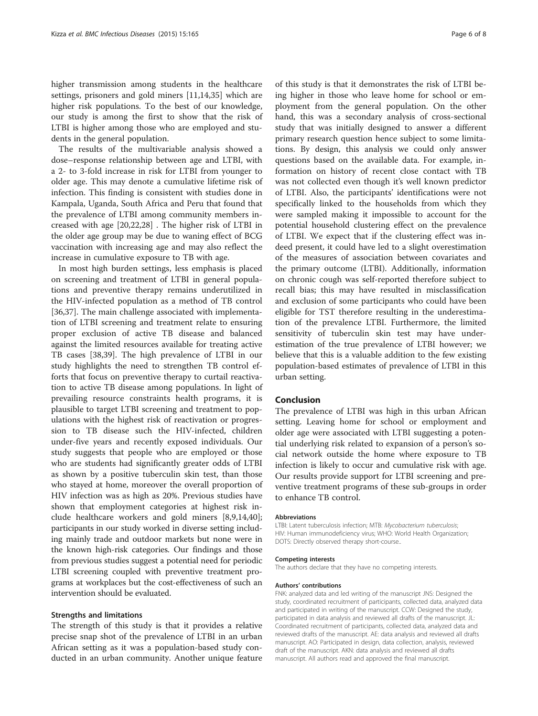higher transmission among students in the healthcare settings, prisoners and gold miners [\[11,14,35](#page-6-0)] which are higher risk populations. To the best of our knowledge, our study is among the first to show that the risk of LTBI is higher among those who are employed and students in the general population.

The results of the multivariable analysis showed a dose–response relationship between age and LTBI, with a 2- to 3-fold increase in risk for LTBI from younger to older age. This may denote a cumulative lifetime risk of infection. This finding is consistent with studies done in Kampala, Uganda, South Africa and Peru that found that the prevalence of LTBI among community members increased with age [[20](#page-6-0),[22](#page-6-0),[28](#page-6-0)] . The higher risk of LTBI in the older age group may be due to waning effect of BCG vaccination with increasing age and may also reflect the increase in cumulative exposure to TB with age.

In most high burden settings, less emphasis is placed on screening and treatment of LTBI in general populations and preventive therapy remains underutilized in the HIV-infected population as a method of TB control [[36,37\]](#page-7-0). The main challenge associated with implementation of LTBI screening and treatment relate to ensuring proper exclusion of active TB disease and balanced against the limited resources available for treating active TB cases [[38](#page-7-0),[39](#page-7-0)]. The high prevalence of LTBI in our study highlights the need to strengthen TB control efforts that focus on preventive therapy to curtail reactivation to active TB disease among populations. In light of prevailing resource constraints health programs, it is plausible to target LTBI screening and treatment to populations with the highest risk of reactivation or progression to TB disease such the HIV-infected, children under-five years and recently exposed individuals. Our study suggests that people who are employed or those who are students had significantly greater odds of LTBI as shown by a positive tuberculin skin test, than those who stayed at home, moreover the overall proportion of HIV infection was as high as 20%. Previous studies have shown that employment categories at highest risk include healthcare workers and gold miners [\[8,9,14](#page-6-0)[,40](#page-7-0)]; participants in our study worked in diverse setting including mainly trade and outdoor markets but none were in the known high-risk categories. Our findings and those from previous studies suggest a potential need for periodic LTBI screening coupled with preventive treatment programs at workplaces but the cost-effectiveness of such an intervention should be evaluated.

#### Strengths and limitations

The strength of this study is that it provides a relative precise snap shot of the prevalence of LTBI in an urban African setting as it was a population-based study conducted in an urban community. Another unique feature of this study is that it demonstrates the risk of LTBI being higher in those who leave home for school or employment from the general population. On the other hand, this was a secondary analysis of cross-sectional study that was initially designed to answer a different primary research question hence subject to some limitations. By design, this analysis we could only answer questions based on the available data. For example, information on history of recent close contact with TB was not collected even though it's well known predictor of LTBI. Also, the participants' identifications were not specifically linked to the households from which they were sampled making it impossible to account for the potential household clustering effect on the prevalence of LTBI. We expect that if the clustering effect was indeed present, it could have led to a slight overestimation of the measures of association between covariates and the primary outcome (LTBI). Additionally, information on chronic cough was self-reported therefore subject to recall bias; this may have resulted in misclassification and exclusion of some participants who could have been eligible for TST therefore resulting in the underestimation of the prevalence LTBI. Furthermore, the limited sensitivity of tuberculin skin test may have underestimation of the true prevalence of LTBI however; we believe that this is a valuable addition to the few existing population-based estimates of prevalence of LTBI in this urban setting.

#### Conclusion

The prevalence of LTBI was high in this urban African setting. Leaving home for school or employment and older age were associated with LTBI suggesting a potential underlying risk related to expansion of a person's social network outside the home where exposure to TB infection is likely to occur and cumulative risk with age. Our results provide support for LTBI screening and preventive treatment programs of these sub-groups in order to enhance TB control.

#### Abbreviations

LTBI: Latent tuberculosis infection; MTB: Mycobacterium tuberculosis; HIV: Human immunodeficiency virus; WHO: World Health Organization; DOTS: Directly observed therapy short-course..

#### Competing interests

The authors declare that they have no competing interests.

#### Authors' contributions

FNK: analyzed data and led writing of the manuscript JNS: Designed the study, coordinated recruitment of participants, collected data, analyzed data and participated in writing of the manuscript. CCW: Designed the study, participated in data analysis and reviewed all drafts of the manuscript. JL: Coordinated recruitment of participants, collected data, analyzed data and reviewed drafts of the manuscript. AE: data analysis and reviewed all drafts manuscript. AO: Participated in design, data collection, analysis, reviewed draft of the manuscript. AKN: data analysis and reviewed all drafts manuscript. All authors read and approved the final manuscript.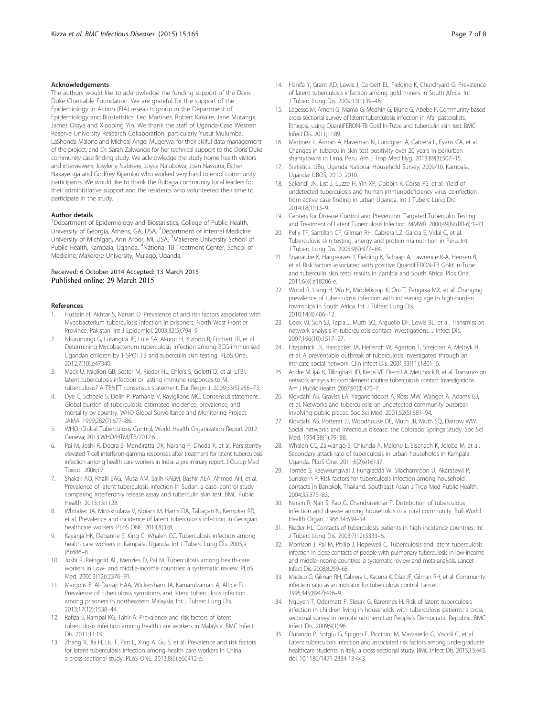#### <span id="page-6-0"></span>Acknowledgements

The authors would like to acknowledge the funding support of the Doris Duke Charitable Foundation. We are grateful for the support of the Epidemiology in Action (EIA) research group in the Department of Epidemiology and Biostatistics: Leo Martinez, Robert Kakaire, Jane Mutanga, James Oloya and Xiaoping Yin. We thank the staff of Uganda-Case Western Reserve University Research Collaboration, particularly Yusuf Mulumba, LaShonda Malone and Micheal Angel Mugerwa, for their skilful data management of the project, and Dr. Sarah Zalwango for her technical support to the Doris Duke community case finding study. We acknowledge the study home health visitors and interviewers; Josylene Nabisere, Joyce Nalubowa, Joan Nassuna, Esther Nakayenga and Godfrey Kijjambu who worked very hard to enrol community participants. We would like to thank the Rubaga community local leaders for their administrative support and the residents who volunteered their time to participate in the study.

#### Author details

<sup>1</sup>Department of Epidemiology and Biostatistics, College of Public Health, University of Georgia, Athens, GA, USA. <sup>2</sup>Department of Internal Medicine University of Michigan, Ann Arbor, MI, USA. <sup>3</sup>Makerere University School of Public Health, Kampala, Uganda. <sup>4</sup>National TB Treatment Center, School of Medicine, Makerere University, Mulago, Uganda.

# Received: 6 October 2014 Accepted: 13 March 2015

#### References

- Hussain H, Akhtar S, Nanan D. Prevalence of and risk factors associated with Mycobacterium tuberculosis infection in prisoners, North West Frontier Province, Pakistan. Int J Epidemiol. 2003;32(5):794–9.
- 2. Nkurunungi G, Lutangira JE, Lule SA, Akurut H, Kizindo R, Fitchett JR, et al. Determining Mycobacterium tuberculosis infection among BCG-immunised Ugandan children by T-SPOT.TB and tuberculin skin testing. PLoS One. 2012;7(10):e47340.
- 3. Mack U, Migliori GB, Sester M, Rieder HL, Ehlers S, Goletti D, et al. LTBI: latent tuberculosis infection or lasting immune responses to M. tuberculosis? A TBNET consensus statement. Eur Respir J. 2009;33(5):956–73.
- Dye C, Scheele S, Dolin P, Pathania V, Raviglione MC. Consensus statement. Global burden of tuberculosis: estimated incidence, prevalence, and mortality by country. WHO Global Surveillance and Monitoring Project. JAMA. 1999;282(7):677–86.
- 5. WHO. Global Tuberculosis Control, World Health Organization Report 2012. Geneva; 2013.WHO/HTM/TB/2012.6.
- Pai M, Joshi R, Dogra S, Mendiratta DK, Narang P, Dheda K, et al. Persistently elevated T cell interferon-gamma responses after treatment for latent tuberculosis infection among health care workers in India: a preliminary report. J Occup Med Toxicol. 2006;1:7.
- 7. Shakak AO, Khalil EAG, Musa AM, Salih KAEM, Bashir AEA, Ahmed AH, et al. Prevalence of latent tuberculosis infection in Sudan: a case–control study comparing interferon-γ release assay and tuberculin skin test. BMC Public Health. 2013;13:1128.
- 8. Whitaker JA, Mirtskhulava V, Kipiani M, Harris DA, Tabagari N, Kempker RR, et al. Prevalence and incidence of latent tuberculosis infection in Georgian healthcare workers. PLoS ONE. 2013;8(3):8.
- 9. Kayanja HK, Debanne S, King C, Whalen CC. Tuberculosis infection among health care workers in Kampala, Uganda. Int J Tuberc Lung Dis. 2005;9 (6):686–8.
- 10. Joshi R, Reingold AL, Menzies D, Pai M. Tuberculosis among health-care workers in Low- and middle-income countries: a systematic review. PLoS Med. 2006;3(12)):2376–91.
- 11. Margolis B, Al-Darraji HAA, Wickersham JA, Kamarulzaman A, Altice FL. Prevalence of tuberculosis symptoms and latent tuberculous infection among prisoners in northeastern Malaysia. Int J Tuberc Lung Dis. 2013;17(12):1538–44.
- 12. Rafiza S, Rampal KG, Tahir A. Prevalence and risk factors of latent tuberculosis infection among health care workers in Malaysia. BMC Infect Dis. 2011:11:19
- 13. Zhang X, Jia H, Liu F, Pan L, Xing A, Gu S, et al. Prevalence and risk factors for latent tuberculosis infection among health care workers in China: a cross-sectional study. PLoS ONE. 2013;8(6):e66412-e.
- 14. Hanifa Y, Grant AD, Lewis J, Corbett EL, Fielding K, Churchyard G. Prevalence of latent tuberculosis infection among gold miners in South Africa. Int J Tuberc Lung Dis. 2009;13(1):39–46.
- 15. Legesse M, Ameni G, Mamo G, Medhin G, Bjune G, Abebe F. Community-based cross-sectional survey of latent tuberculosis infection in Afar pastoralists, Ethiopia, using QuantiFERON-TB Gold In-Tube and tuberculin skin test. BMC Infect Dis. 2011;11:89.
- 16. Martinez L, Arman A, Haveman N, Lundgren A, Cabrera L, Evans CA, et al. Changes in tuberculin skin test positivity over 20 years in periurban shantytowns in Lima, Peru. Am J Trop Med Hyg. 2013;89(3):507–15.
- 17. Statistics. UBo. Uganda National Household Survey, 2009/10. Kampala, Uganda: UBOS; 2010. 2010.
- 18. Sekandi JN, List J, Luzze H, Yin XP, Dobbin K, Corso PS, et al. Yield of undetected tuberculosis and human immunodeficiency virus coinfection from active case finding in urban Uganda. Int J Tuberc Lung Dis. 2014;18(1):13–9.
- 19. Centers for Disease Control and Prevention. Targeted Tuberculin Testing and Treatment of Latent Tuberculosis Infection. MMWR. 2000;49(No.RR-6):1–71.
- 20. Pelly TF, Santillan CF, Gilman RH, Cabrera LZ, Garcia E, Vidal C, et al. Tuberculosis skin testing, anergy and protein malnutrition in Peru. Int J Tuberc Lung Dis. 2005;9(9):977–84.
- 21. Shanaube K, Hargreaves J, Fielding K, Schaap A, Lawrence K-A, Hensen B, et al. Risk factors associated with positive QuantiFERON-TB Gold In-Tube and tuberculin skin tests results in Zambia and South Africa. Plos One. 2011;6(4):e18206-e.
- 22. Wood R, Liang H, Wu H, Middelkoop K, Oni T, Rangaka MX, et al. Changing prevalence of tuberculosis infection with increasing age in high-burden townships in South Africa. Int J Tuberc Lung Dis. 2010;14(4):406–12.
- 23. Cook VJ, Sun SJ, Tapia J, Muth SQ, Arguello DF, Lewis BL, et al. Transmission network analysis in tuberculosis contact investigations. J Infect Dis. 2007;196(10):1517–27.
- 24. Fitzpatrick LK, Hardacker JA, Heirendt W, Agerton T, Streicher A, Melnyk H, et al. A preventable outbreak of tuberculosis investigated through an intricate social network. Clin Infect Dis. 2001;33(11):1801–6.
- 25. Andre M, Ijaz K, Tillinghast JD, Krebs VE, Diem LA, Metchock B, et al. Transmission network analysis to complement routine tuberculosis contact investigations. Am J Public Health. 2007;97(3):470–7.
- 26. Klovdahl AS, Graviss EA, Yaganehdoost A, Ross MW, Wanger A, Adams GJ, et al. Networks and tuberculosis: an undetected community outbreak involving public places. Soc Sci Med. 2001;52(5):681–94.
- 27. Klovdahl AS, Potterat JJ, Woodhouse DE, Muth JB, Muth SQ, Darrow WW. Social networks and infectious disease: the Colorado Springs Study. Soc Sci Med. 1994;38(1):79–88.
- 28. Whalen CC, Zalwango S, Chiunda A, Malone L, Eisenach K, Joloba M, et al. Secondary attack rate of tuberculosis in urban households in Kampala, Uganda. PLoS One. 2011;6(2):e16137.
- 29. Tornee S, Kaewkungwal J, Fungladda W, Silachamroon U, Akarasewi P, Sunakorn P. Risk factors for tuberculosis infection among household contacts in Bangkok, Thailand. Southeast Asian J Trop Med Public Health. 2004;35:375–83.
- 30. Narain R, Nair S, Rao G, Chandrasekhar P. Distribution of tuberculous infection and disease among households in a rural community. Bull World Health Organ. 1966;34:639–54.
- 31. Rieder HL. Contacts of tuberculosis patients in high-incidence countries. Int J Tuberc Lung Dis. 2003;7(12):S333–6.
- 32. Morrison J, Pai M, Philip J, Hopewell C. Tuberculosis and latent tuberculosis infection in close contacts of people with pulmonary tuberculosis in low-income and middle-income countries: a systematic review and meta-analysis. Lancet Infect Dis. 2008;8:259–68.
- 33. Madico G, Gilman RH, Cabrera L, Kacena K, Díaz JF, Gilman RH, et al. Community infection ratio as an indicator for tuberculosis control. Lancet. 1995;345(8947):416–9.
- 34. Nguyen T, Odermatt P, Slesak G, Barennes H. Risk of latent tuberculosis infection in children living in households with tuberculosis patients: a cross sectional survey in remote northern Lao People's Democratic Republic. BMC Infect Dis. 2009;9(1):96.
- 35. Durando P, Sotgiu G, Spigno F, Piccinini M, Mazzarello G, Viscoli C, et al. Latent tuberculosis infection and associated risk factors among undergraduate healthcare students in Italy: a cross-sectional study. BMC Infect Dis. 2013;13:443. doi: 10.1186/1471-2334-13-443.